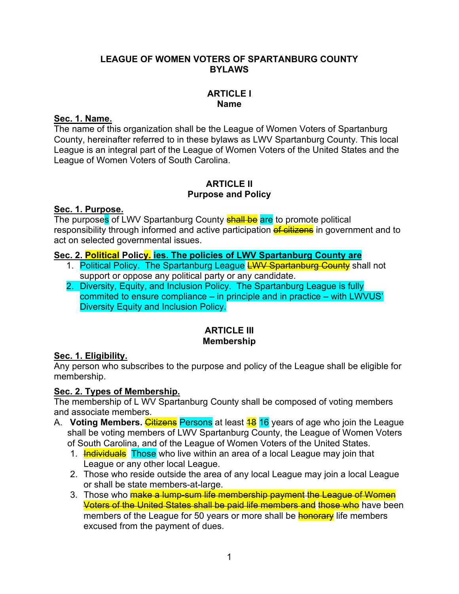## **LEAGUE OF WOMEN VOTERS OF SPARTANBURG COUNTY BYLAWS**

## **ARTICLE I Name**

## **Sec. 1. Name.**

The name of this organization shall be the League of Women Voters of Spartanburg County, hereinafter referred to in these bylaws as LWV Spartanburg County. This local League is an integral part of the League of Women Voters of the United States and the League of Women Voters of South Carolina.

## **ARTICLE II Purpose and Policy**

#### **Sec. 1. Purpose.**

The purposes of LWV Spartanburg County **shall be** are to promote political responsibility through informed and active participation of citizens in government and to act on selected governmental issues.

## **Sec. 2. Political Policy. ies. The policies of LWV Spartanburg County are**

- 1. Political Policy. The Spartanburg League **LWV Spartanburg County** shall not support or oppose any political party or any candidate.
- 2. Diversity, Equity, and Inclusion Policy. The Spartanburg League is fully commited to ensure compliance – in principle and in practice – with LWVUS' Diversity Equity and Inclusion Policy.

## **ARTICLE III Membership**

## **Sec. 1. Eligibility.**

Any person who subscribes to the purpose and policy of the League shall be eligible for membership.

## **Sec. 2. Types of Membership.**

The membership of L WV Spartanburg County shall be composed of voting members and associate members.

- A. **Voting Members.** Citizens Persons at least **18 16** years of age who join the League shall be voting members of LWV Spartanburg County, the League of Women Voters of South Carolina, and of the League of Women Voters of the United States.
	- 1. **Individuals** Those who live within an area of a local League may join that League or any other local League.
	- 2. Those who reside outside the area of any local League may join a local League or shall be state members-at-large.
	- 3. Those who make a lump-sum life membership payment the League of Women Voters of the United States shall be paid life members and those who have been members of the League for 50 years or more shall be **honorary** life members excused from the payment of dues.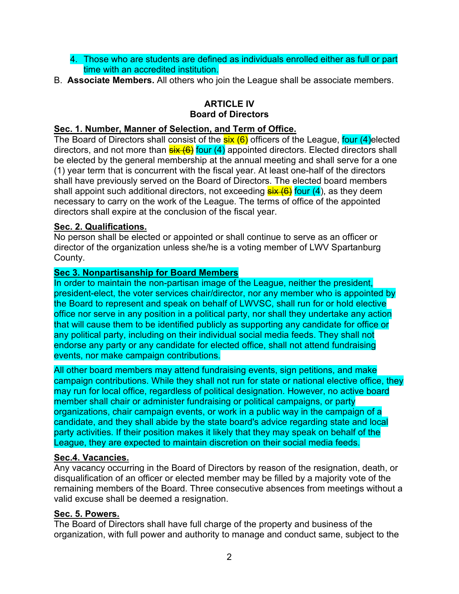- 4. Those who are students are defined as individuals enrolled either as full or part time with an accredited institution.
- B. **Associate Members.** All others who join the League shall be associate members.

# **ARTICLE IV Board of Directors**

## **Sec. 1. Number, Manner of Selection, and Term of Office.**

The Board of Directors shall consist of the **six (6)** officers of the League, four (4)elected directors, and not more than  $\frac{\sin(6)}{\sin(4)}$  appointed directors. Elected directors shall be elected by the general membership at the annual meeting and shall serve for a one (1) year term that is concurrent with the fiscal year. At least one-half of the directors shall have previously served on the Board of Directors. The elected board members shall appoint such additional directors, not exceeding  $s$ ix  $(6)$  four  $(4)$ , as they deem necessary to carry on the work of the League. The terms of office of the appointed directors shall expire at the conclusion of the fiscal year.

## **Sec. 2. Qualifications.**

No person shall be elected or appointed or shall continue to serve as an officer or director of the organization unless she/he is a voting member of LWV Spartanburg County.

## **Sec 3. Nonpartisanship for Board Members**

In order to maintain the non-partisan image of the League, neither the president, president-elect, the voter services chair/director, nor any member who is appointed by the Board to represent and speak on behalf of LWVSC, shall run for or hold elective office nor serve in any position in a political party, nor shall they undertake any action that will cause them to be identified publicly as supporting any candidate for office or any political party, including on their individual social media feeds. They shall not endorse any party or any candidate for elected office, shall not attend fundraising events, nor make campaign contributions.

All other board members may attend fundraising events, sign petitions, and make campaign contributions. While they shall not run for state or national elective office, they may run for local office, regardless of political designation. However, no active board member shall chair or administer fundraising or political campaigns, or party organizations, chair campaign events, or work in a public way in the campaign of a candidate, and they shall abide by the state board's advice regarding state and local party activities. If their position makes it likely that they may speak on behalf of the League, they are expected to maintain discretion on their social media feeds.

#### **Sec.4. Vacancies.**

Any vacancy occurring in the Board of Directors by reason of the resignation, death, or disqualification of an officer or elected member may be filled by a majority vote of the remaining members of the Board. Three consecutive absences from meetings without a valid excuse shall be deemed a resignation.

#### **Sec. 5. Powers.**

The Board of Directors shall have full charge of the property and business of the organization, with full power and authority to manage and conduct same, subject to the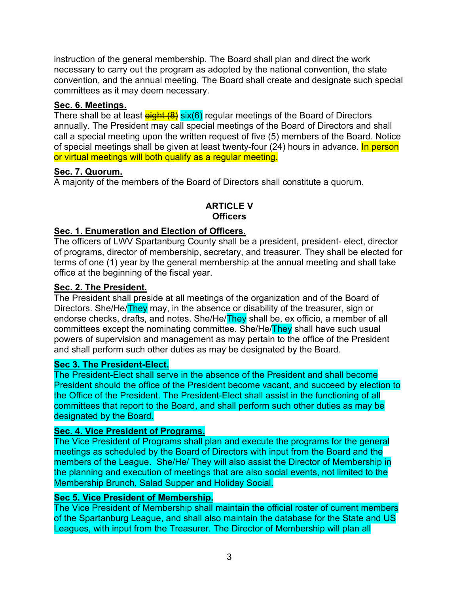instruction of the general membership. The Board shall plan and direct the work necessary to carry out the program as adopted by the national convention, the state convention, and the annual meeting. The Board shall create and designate such special committees as it may deem necessary.

## **Sec. 6. Meetings.**

There shall be at least  $\frac{e^{\frac{1}{2}}}{e^{\frac{1}{2}}}\frac{1}{\sin(\theta)}$  regular meetings of the Board of Directors annually. The President may call special meetings of the Board of Directors and shall call a special meeting upon the written request of five (5) members of the Board. Notice of special meetings shall be given at least twenty-four  $(24)$  hours in advance. In person or virtual meetings will both qualify as a regular meeting.

## **Sec. 7. Quorum.**

A majority of the members of the Board of Directors shall constitute a quorum.

## **ARTICLE V Officers**

## **Sec. 1. Enumeration and Election of Officers.**

The officers of LWV Spartanburg County shall be a president, president- elect, director of programs, director of membership, secretary, and treasurer. They shall be elected for terms of one (1) year by the general membership at the annual meeting and shall take office at the beginning of the fiscal year.

## **Sec. 2. The President.**

The President shall preside at all meetings of the organization and of the Board of Directors. She/He/They may, in the absence or disability of the treasurer, sign or endorse checks, drafts, and notes. She/He/They shall be, ex officio, a member of all committees except the nominating committee. She/He/They shall have such usual powers of supervision and management as may pertain to the office of the President and shall perform such other duties as may be designated by the Board.

#### **Sec 3. The President-Elect.**

The President-Elect shall serve in the absence of the President and shall become President should the office of the President become vacant, and succeed by election to the Office of the President. The President-Elect shall assist in the functioning of all committees that report to the Board, and shall perform such other duties as may be designated by the Board.

## **Sec. 4. Vice President of Programs.**

The Vice President of Programs shall plan and execute the programs for the general meetings as scheduled by the Board of Directors with input from the Board and the members of the League. She/He/ They will also assist the Director of Membership in the planning and execution of meetings that are also social events, not limited to the Membership Brunch, Salad Supper and Holiday Social.

#### **Sec 5. Vice President of Membership.**

The Vice President of Membership shall maintain the official roster of current members of the Spartanburg League, and shall also maintain the database for the State and US Leagues, with input from the Treasurer. The Director of Membership will plan all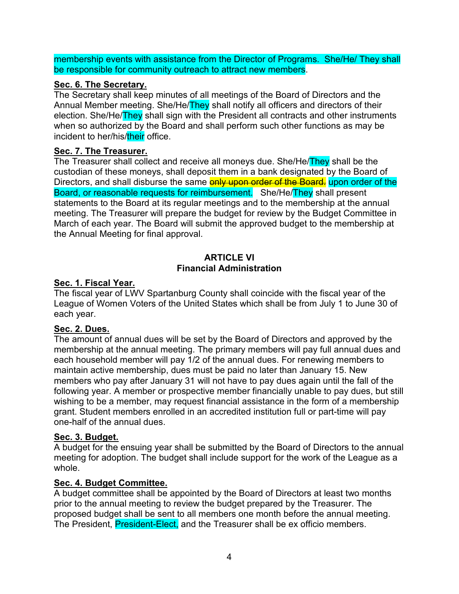membership events with assistance from the Director of Programs. She/He/ They shall be responsible for community outreach to attract new members.

## **Sec. 6. The Secretary.**

The Secretary shall keep minutes of all meetings of the Board of Directors and the Annual Member meeting. She/He/They shall notify all officers and directors of their election. She/He/They shall sign with the President all contracts and other instruments when so authorized by the Board and shall perform such other functions as may be incident to her/his/their office.

## **Sec. 7. The Treasurer.**

The Treasurer shall collect and receive all moneys due. She/He/They shall be the custodian of these moneys, shall deposit them in a bank designated by the Board of Directors, and shall disburse the same **only upon order of the Board.** upon order of the Board, or reasonable requests for reimbursement. She/He/They shall present statements to the Board at its regular meetings and to the membership at the annual meeting. The Treasurer will prepare the budget for review by the Budget Committee in March of each year. The Board will submit the approved budget to the membership at the Annual Meeting for final approval.

## **ARTICI F VI Financial Administration**

## **Sec. 1. Fiscal Year.**

The fiscal year of LWV Spartanburg County shall coincide with the fiscal year of the League of Women Voters of the United States which shall be from July 1 to June 30 of each year.

## **Sec. 2. Dues.**

The amount of annual dues will be set by the Board of Directors and approved by the membership at the annual meeting. The primary members will pay full annual dues and each household member will pay 1/2 of the annual dues. For renewing members to maintain active membership, dues must be paid no later than January 15. New members who pay after January 31 will not have to pay dues again until the fall of the following year. A member or prospective member financially unable to pay dues, but still wishing to be a member, may request financial assistance in the form of a membership grant. Student members enrolled in an accredited institution full or part-time will pay one-half of the annual dues.

## **Sec. 3. Budget.**

A budget for the ensuing year shall be submitted by the Board of Directors to the annual meeting for adoption. The budget shall include support for the work of the League as a whole.

## **Sec. 4. Budget Committee.**

A budget committee shall be appointed by the Board of Directors at least two months prior to the annual meeting to review the budget prepared by the Treasurer. The proposed budget shall be sent to all members one month before the annual meeting. The President, President-Elect, and the Treasurer shall be ex officio members.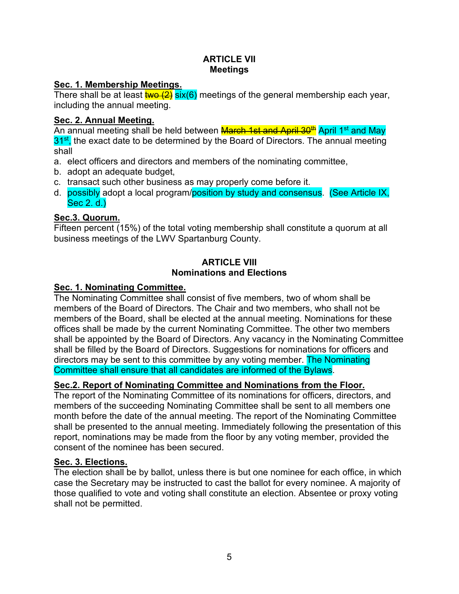## **ARTICLE VII Meetings**

## **Sec. 1. Membership Meetings.**

There shall be at least  $\frac{1}{4}$   $\frac{1}{2}$  six(6) meetings of the general membership each year, including the annual meeting.

## **Sec. 2. Annual Meeting.**

An annual meeting shall be held between **March 1st and April 30<sup>th</sup> April 1st and May**  $31<sup>st</sup>$ , the exact date to be determined by the Board of Directors. The annual meeting shall

- a. elect officers and directors and members of the nominating committee,
- b. adopt an adequate budget,
- c. transact such other business as may properly come before it.
- d. possibly adopt a local program/position by study and consensus. (See Article IX, Sec 2. d.)

# **Sec.3. Quorum.**

Fifteen percent (15%) of the total voting membership shall constitute a quorum at all business meetings of the LWV Spartanburg County.

## **ARTICLE VIII Nominations and Elections**

# **Sec. 1. Nominating Committee.**

The Nominating Committee shall consist of five members, two of whom shall be members of the Board of Directors. The Chair and two members, who shall not be members of the Board, shall be elected at the annual meeting. Nominations for these offices shall be made by the current Nominating Committee. The other two members shall be appointed by the Board of Directors. Any vacancy in the Nominating Committee shall be filled by the Board of Directors. Suggestions for nominations for officers and directors may be sent to this committee by any voting member. The Nominating Committee shall ensure that all candidates are informed of the Bylaws.

## **Sec.2. Report of Nominating Committee and Nominations from the Floor.**

The report of the Nominating Committee of its nominations for officers, directors, and members of the succeeding Nominating Committee shall be sent to all members one month before the date of the annual meeting. The report of the Nominating Committee shall be presented to the annual meeting. Immediately following the presentation of this report, nominations may be made from the floor by any voting member, provided the consent of the nominee has been secured.

# **Sec. 3. Elections.**

The election shall be by ballot, unless there is but one nominee for each office, in which case the Secretary may be instructed to cast the ballot for every nominee. A majority of those qualified to vote and voting shall constitute an election. Absentee or proxy voting shall not be permitted.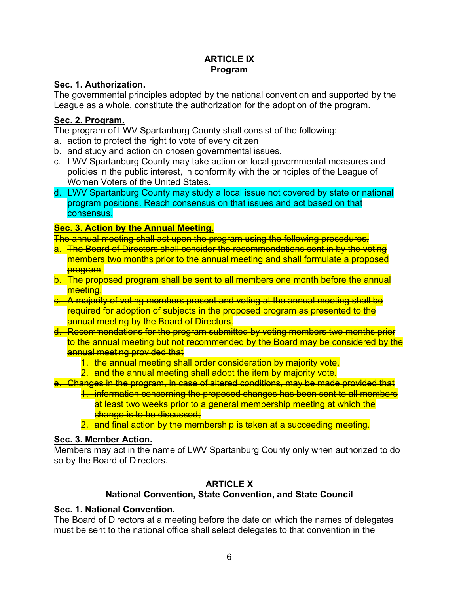## **ARTICLE IX Program**

## **Sec. 1. Authorization.**

The governmental principles adopted by the national convention and supported by the League as a whole, constitute the authorization for the adoption of the program.

## **Sec. 2. Program.**

The program of LWV Spartanburg County shall consist of the following:

- a. action to protect the right to vote of every citizen
- b. and study and action on chosen governmental issues.
- c. LWV Spartanburg County may take action on local governmental measures and policies in the public interest, in conformity with the principles of the League of Women Voters of the United States.
- d. LWV Spartanburg County may study a local issue not covered by state or national program positions. Reach consensus on that issues and act based on that consensus.

# **Sec. 3. Action by the Annual Meeting.**

The annual meeting shall act upon the program using the following procedures.

- a. The Board of Directors shall consider the recommendations sent in by the voting members two months prior to the annual meeting and shall formulate a proposed program.
- b. The proposed program shall be sent to all members one month before the annual meeting.
- c. A majority of voting members present and voting at the annual meeting shall be required for adoption of subjects in the proposed program as presented to the annual meeting by the Board of Directors.
- d. Recommendations for the program submitted by voting members two months prior to the annual meeting but not recommended by the Board may be considered by the annual meeting provided that

1. the annual meeting shall order consideration by majority vote,

2. and the annual meeting shall adopt the item by majority vote.

e. Changes in the program, in case of altered conditions, may be made provided that

1. information concerning the proposed changes has been sent to all members at least two weeks prior to a general membership meeting at which the change is to be discussed;

2. and final action by the membership is taken at a succeeding meeting.

# **Sec. 3. Member Action.**

Members may act in the name of LWV Spartanburg County only when authorized to do so by the Board of Directors.

# **ARTICLE X**

# **National Convention, State Convention, and State Council**

# **Sec. 1. National Convention.**

The Board of Directors at a meeting before the date on which the names of delegates must be sent to the national office shall select delegates to that convention in the